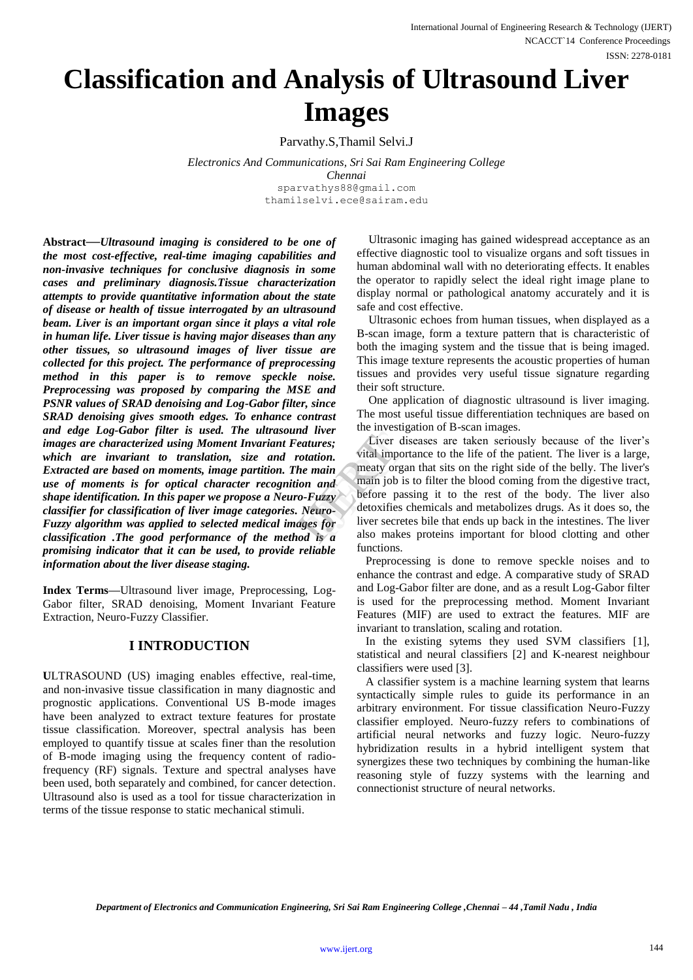# **Classification and Analysis of Ultrasound Liver Images**

Parvathy.S,Thamil Selvi.J

*Electronics And Communications, Sri Sai Ram Engineering College Chennai* sparvathys88@gmail.com thamilselvi.ece@sairam.edu

**Abstract—***Ultrasound imaging is considered to be one of the most cost-effective, real-time imaging capabilities and non-invasive techniques for conclusive diagnosis in some cases and preliminary diagnosis.Tissue characterization attempts to provide quantitative information about the state of disease or health of tissue interrogated by an ultrasound beam. Liver is an important organ since it plays a vital role in human life. Liver tissue is having major diseases than any other tissues, so ultrasound images of liver tissue are collected for this project. The performance of preprocessing method in this paper is to remove speckle noise. Preprocessing was proposed by comparing the MSE and PSNR values of SRAD denoising and Log-Gabor filter, since SRAD denoising gives smooth edges. To enhance contrast and edge Log-Gabor filter is used. The ultrasound liver images are characterized using Moment Invariant Features; which are invariant to translation, size and rotation. Extracted are based on moments, image partition. The main use of moments is for optical character recognition and shape identification. In this paper we propose a Neuro-Fuzzy classifier for classification of liver image categories. Neuro-Fuzzy algorithm was applied to selected medical images for classification .The good performance of the method is a promising indicator that it can be used, to provide reliable information about the liver disease staging.*

**Index Terms—**Ultrasound liver image, Preprocessing, Log-Gabor filter, SRAD denoising, Moment Invariant Feature Extraction, Neuro-Fuzzy Classifier.

# **I INTRODUCTION**

**U**LTRASOUND (US) imaging enables effective, real-time, and non-invasive tissue classification in many diagnostic and prognostic applications. Conventional US B-mode images have been analyzed to extract texture features for prostate tissue classification. Moreover, spectral analysis has been employed to quantify tissue at scales finer than the resolution of B-mode imaging using the frequency content of radiofrequency (RF) signals. Texture and spectral analyses have been used, both separately and combined, for cancer detection. Ultrasound also is used as a tool for tissue characterization in terms of the tissue response to static mechanical stimuli.

 Ultrasonic imaging has gained widespread acceptance as an effective diagnostic tool to visualize organs and soft tissues in human abdominal wall with no deteriorating effects. It enables the operator to rapidly select the ideal right image plane to display normal or pathological anatomy accurately and it is safe and cost effective.

 Ultrasonic echoes from human tissues, when displayed as a B-scan image, form a texture pattern that is characteristic of both the imaging system and the tissue that is being imaged. This image texture represents the acoustic properties of human tissues and provides very useful tissue signature regarding their soft structure.

 One application of diagnostic ultrasound is liver imaging. The most useful tissue differentiation techniques are based on the investigation of B-scan images.

 Liver diseases are taken seriously because of the liver's vital importance to the life of the patient. The liver is a large, meaty organ that sits on the right side of the belly. The liver's main job is to filter the blood coming from the digestive tract, before passing it to the rest of the body. The liver also detoxifies chemicals and metabolizes drugs. As it does so, the liver secretes bile that ends up back in the intestines. The liver also makes proteins important for blood clotting and other functions. Fiver the liver<br>
tures;<br>
Liver dise<br>
tation.<br>
In main meaty organ<br>
m and main job is to<br>
Fuzzy<br>
before passi<br>
Neuro-<br>
detoxifies che liver secretes<br>
detoxifies che liver secretes<br>
disemble also makes

> Preprocessing is done to remove speckle noises and to enhance the contrast and edge. A comparative study of SRAD and Log-Gabor filter are done, and as a result Log-Gabor filter is used for the preprocessing method. Moment Invariant Features (MIF) are used to extract the features. MIF are invariant to translation, scaling and rotation.

> In the existing sytems they used SVM classifiers [1], statistical and neural classifiers [2] and K-nearest neighbour classifiers were used [3].

> A classifier system is a machine learning system that learns syntactically simple rules to guide its performance in an arbitrary environment. For tissue classification Neuro-Fuzzy classifier employed. Neuro-fuzzy refers to combinations of artificial neural networks and fuzzy logic. Neuro-fuzzy hybridization results in a hybrid intelligent system that synergizes these two techniques by combining the human-like reasoning style of fuzzy systems with the learning and connectionist structure of neural networks.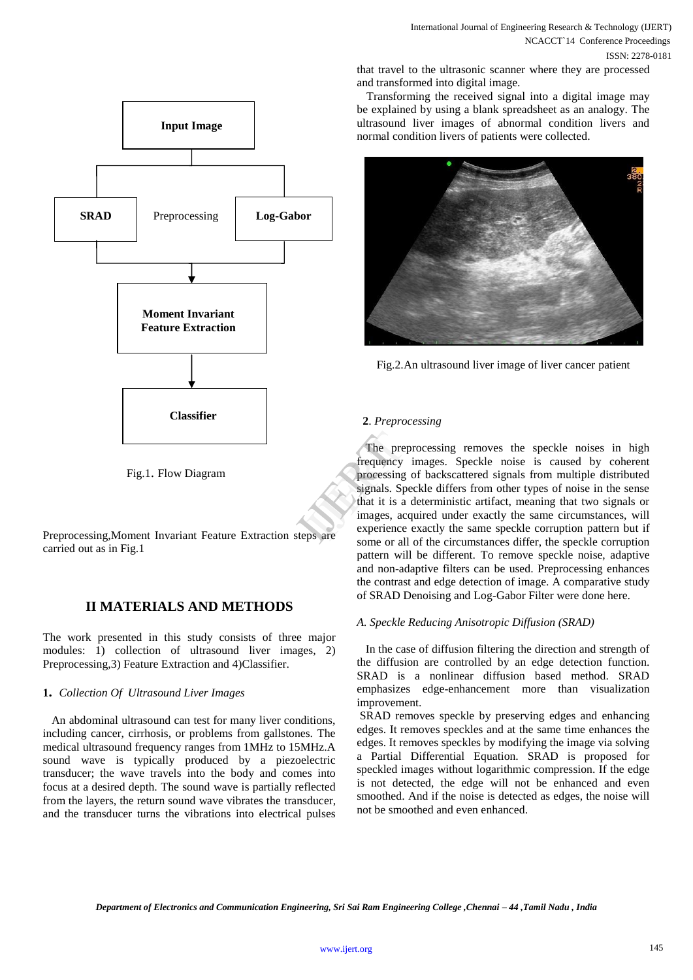

Fig.1. Flow Diagram

Preprocessing,Moment Invariant Feature Extraction steps are carried out as in Fig.1

# **II MATERIALS AND METHODS**

The work presented in this study consists of three major modules: 1) collection of ultrasound liver images, 2) Preprocessing,3) Feature Extraction and 4)Classifier.

## **1.** *Collection Of Ultrasound Liver Images*

 An abdominal ultrasound can test for many liver conditions, including cancer, cirrhosis, or problems from gallstones. The medical ultrasound frequency ranges from 1MHz to 15MHz.A sound wave is typically produced by a piezoelectric transducer; the wave travels into the body and comes into focus at a desired depth. The sound wave is partially reflected from the layers, the return sound wave vibrates the transducer, and the transducer turns the vibrations into electrical pulses that travel to the ultrasonic scanner where they are processed and transformed into digital image.

 Transforming the received signal into a digital image may be explained by using a blank spreadsheet as an analogy. The ultrasound liver images of abnormal condition livers and normal condition livers of patients were collected.



Fig.2.An ultrasound liver image of liver cancer patient

#### **2**. *Preprocessing*

 The preprocessing removes the speckle noises in high frequency images. Speckle noise is caused by coherent processing of backscattered signals from multiple distributed signals. Speckle differs from other types of noise in the sense that it is a deterministic artifact, meaning that two signals or images, acquired under exactly the same circumstances, will experience exactly the same speckle corruption pattern but if some or all of the circumstances differ, the speckle corruption pattern will be different. To remove speckle noise, adaptive and non-adaptive filters can be used. Preprocessing enhances the contrast and edge detection of image. A comparative study of SRAD Denoising and Log-Gabor Filter were done here. The prepre<br>
frequency in<br>
processing o<br>
signals. Spec<br>
that it is a d<br>
images, acqu<br>
experience e<br>
ps are<br>
experience e<br>
come and l

### *A. Speckle Reducing Anisotropic Diffusion (SRAD)*

 In the case of diffusion filtering the direction and strength of the diffusion are controlled by an edge detection function. SRAD is a nonlinear diffusion based method. SRAD emphasizes edge-enhancement more than visualization improvement.

SRAD removes speckle by preserving edges and enhancing edges. It removes speckles and at the same time enhances the edges. It removes speckles by modifying the image via solving a Partial Differential Equation. SRAD is proposed for speckled images without logarithmic compression. If the edge is not detected, the edge will not be enhanced and even smoothed. And if the noise is detected as edges, the noise will not be smoothed and even enhanced.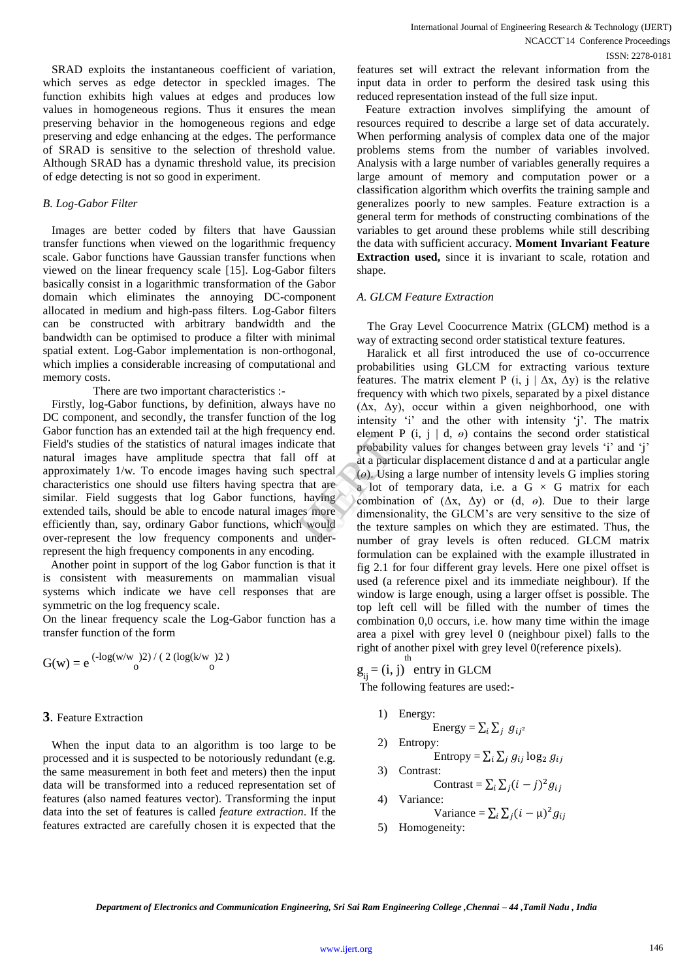SRAD exploits the instantaneous coefficient of variation, which serves as edge detector in speckled images. The function exhibits high values at edges and produces low values in homogeneous regions. Thus it ensures the mean preserving behavior in the homogeneous regions and edge preserving and edge enhancing at the edges. The performance of SRAD is sensitive to the selection of threshold value. Although SRAD has a dynamic threshold value, its precision of edge detecting is not so good in experiment.

#### *B. Log-Gabor Filter*

 Images are better coded by filters that have Gaussian transfer functions when viewed on the logarithmic frequency scale. Gabor functions have Gaussian transfer functions when viewed on the linear frequency scale [15]. Log-Gabor filters basically consist in a logarithmic transformation of the Gabor domain which eliminates the annoying DC-component allocated in medium and high-pass filters. Log-Gabor filters can be constructed with arbitrary bandwidth and the bandwidth can be optimised to produce a filter with minimal spatial extent. Log-Gabor implementation is non-orthogonal, which implies a considerable increasing of computational and memory costs.

There are two important characteristics :-

 Firstly, log-Gabor functions, by definition, always have no DC component, and secondly, the transfer function of the log Gabor function has an extended tail at the high frequency end. Field's studies of the statistics of natural images indicate that natural images have amplitude spectra that fall off at approximately 1/w. To encode images having such spectral characteristics one should use filters having spectra that are similar. Field suggests that log Gabor functions, having extended tails, should be able to encode natural images more efficiently than, say, ordinary Gabor functions, which would over-represent the low frequency components and underrepresent the high frequency components in any encoding.

 Another point in support of the log Gabor function is that it is consistent with measurements on mammalian visual systems which indicate we have cell responses that are symmetric on the log frequency scale.

On the linear frequency scale the Log-Gabor function has a transfer function of the form

$$
G(w)=e^{\left( -\log(w/w_-)2 \right)/\left( \right. 2 \left( \log(k/w_-)2 \right. \right)}_{\rm o}
$$

## **3**. Feature Extraction

 When the input data to an algorithm is too large to be processed and it is suspected to be notoriously redundant (e.g. the same measurement in both feet and meters) then the input data will be transformed into a reduced representation set of features (also named features vector). Transforming the input data into the set of features is called *feature extraction*. If the features extracted are carefully chosen it is expected that the

features set will extract the relevant information from the input data in order to perform the desired task using this reduced representation instead of the full size input.

 Feature extraction involves simplifying the amount of resources required to describe a large set of data accurately. When performing analysis of complex data one of the major problems stems from the number of variables involved. Analysis with a large number of variables generally requires a large amount of memory and computation power or a classification algorithm which overfits the training sample and generalizes poorly to new samples. Feature extraction is a general term for methods of constructing combinations of the variables to get around these problems while still describing the data with sufficient accuracy. **Moment Invariant Feature Extraction used,** since it is invariant to scale, rotation and shape.

#### *A. GLCM Feature Extraction*

The Gray Level Coocurrence Matrix (GLCM) method is a way of extracting second order statistical texture features.

 Haralick et all first introduced the use of co-occurrence probabilities using GLCM for extracting various texture features. The matrix element P (i, j |  $\Delta$ x,  $\Delta$ y) is the relative frequency with which two pixels, separated by a pixel distance (Δx, Δy), occur within a given neighborhood, one with intensity 'i' and the other with intensity 'j'. The matrix element P  $(i, j | d, \theta)$  contains the second order statistical probability values for changes between gray levels 'i' and 'j' at a particular displacement distance d and at a particular angle (*ө*). Using a large number of intensity levels G implies storing a lot of temporary data, i.e. a  $G \times G$  matrix for each combination of (Δx, Δy) or (d, *ө*). Due to their large dimensionality, the GLCM's are very sensitive to the size of the texture samples on which they are estimated. Thus, the number of gray levels is often reduced. GLCM matrix formulation can be explained with the example illustrated in fig 2.1 for four different gray levels. Here one pixel offset is used (a reference pixel and its immediate neighbour). If the window is large enough, using a larger offset is possible. The top left cell will be filled with the number of times the combination 0,0 occurs, i.e. how many time within the image area a pixel with grey level 0 (neighbour pixel) falls to the right of another pixel with grey level 0(reference pixels). y end.<br>
te that<br>
off at a particula<br>
pectral<br>
(a). Using a lat are<br>
a lot of ter<br>
aving<br>
more<br>
simple texture s<br>
would<br>
the texture s<br>
under-

 $g_{ij} = (i, j)$  entry in GLCM

The following features are used:-

- 1) Energy:
	- Energy =  $\sum_i \sum_j g_{ij}^2$
- 2) Entropy:

Entropy = 
$$
\sum_i \sum_j g_{ij} \log_2 g_{ij}
$$
  
3) Contrast:

$$
\text{Contrast} = \sum_{i} \sum_{j} (i - j)^2 g_{ij}
$$

- 4) Variance: Variance =  $\sum_i \sum_j (i - \mu)^2$
- 5) Homogeneity: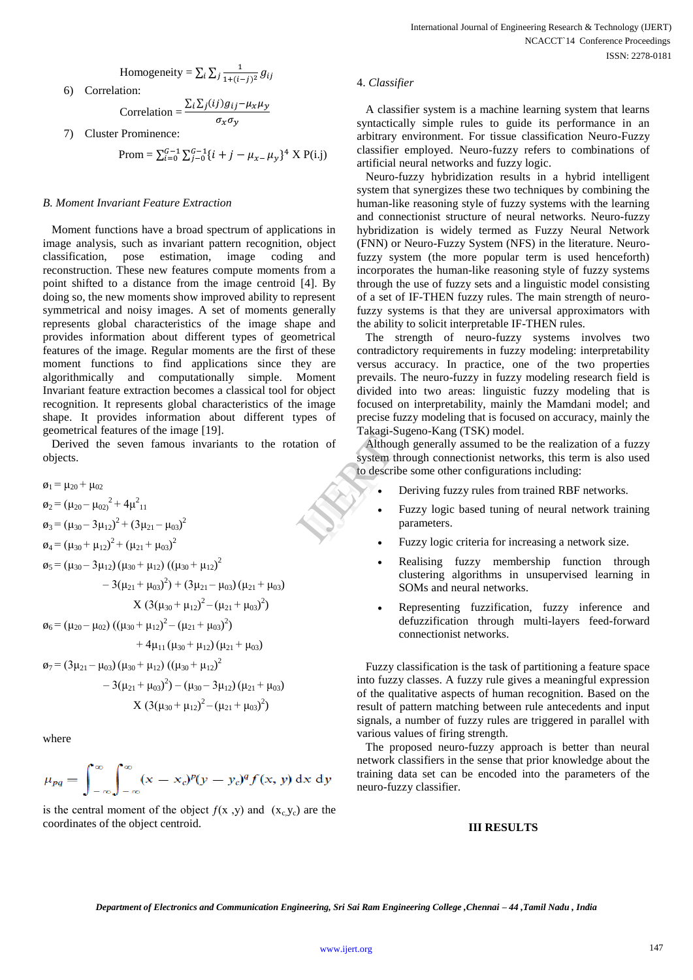Homogeneity =  $\sum_i \sum_j \frac{1}{\sqrt{2\pi}}$  $i \, \Delta_j \frac{1}{1}$ 

6) Correlation:

$$
\text{Correlation} = \frac{\sum_{i} \sum_{j} (ij) g_{ij} - \mu_{x} \mu_{y}}{\sigma_{x} \sigma_{y}}
$$

7) Cluster Prominence:

Prom =  $\sum_{i=0}^{G-1} \sum_{j=0}^{G-1} {i+j - \mu_{x-} \mu_{y}}^4$  X P(i.j)

#### *B. Moment Invariant Feature Extraction*

 Moment functions have a broad spectrum of applications in image analysis, such as invariant pattern recognition, object classification, pose estimation, image coding and reconstruction. These new features compute moments from a point shifted to a distance from the image centroid [4]. By doing so, the new moments show improved ability to represent symmetrical and noisy images. A set of moments generally represents global characteristics of the image shape and provides information about different types of geometrical features of the image. Regular moments are the first of these moment functions to find applications since they are algorithmically and computationally simple. Moment Invariant feature extraction becomes a classical tool for object recognition. It represents global characteristics of the image shape. It provides information about different types of geometrical features of the image [19].

 Derived the seven famous invariants to the rotation of objects.

 $\varphi_1 = \mu_{20} + \mu_{02}$  $\varphi_2 = (\mu_{20} - \mu_{02})^2 + 4\mu_{11}^2$  $\varphi_3 = (\mu_{30} - 3\mu_{12})^2 + (3\mu_{21} - \mu_{03})^2$  $\varphi_4 = (\mu_{30} + \mu_{12})^2 + (\mu_{21} + \mu_{03})^2$  $\varphi_5 = (\mu_{30} - 3\mu_{12}) (\mu_{30} + \mu_{12}) ((\mu_{30} + \mu_{12})^2)$  $-3(\mu_{21}+\mu_{03})^2$  +  $(3\mu_{21}-\mu_{03})(\mu_{21}+\mu_{03})$  $X(3(\mu_{30}+\mu_{12})^2-(\mu_{21}+\mu_{03})^2)$  $\varphi_6 = (\mu_{20} - \mu_{02}) ((\mu_{30} + \mu_{12})^2 - (\mu_{21} + \mu_{03})^2)$ +  $4\mu_{11}$  ( $\mu_{30}$  +  $\mu_{12}$ ) ( $\mu_{21}$  +  $\mu_{03}$ )  $\varphi_7$  = (3μ<sub>21</sub> – μ<sub>03</sub>) (μ<sub>30</sub> + μ<sub>12</sub>) ((μ<sub>30</sub> + μ<sub>12</sub>)<sup>2</sup>  $-3(\mu_{21}+\mu_{03})^2) - (\mu_{30}-3\mu_{12})(\mu_{21}+\mu_{03})$  $X(3(\mu_{30}+\mu_{12})^2-(\mu_{21}+\mu_{03})^2)$ 

where

$$
\mu_{pq} = \int_{-\infty}^{\infty} \int_{-\infty}^{\infty} (x - x_c)^p (y - y_c)^q f(x, y) \, dx \, dy
$$

is the central moment of the object  $f(x, y)$  and  $(x, y_c)$  are the coordinates of the object centroid.

#### 4. *Classifier*

 A classifier system is a machine learning system that learns syntactically simple rules to guide its performance in an arbitrary environment. For tissue classification Neuro-Fuzzy classifier employed. Neuro-fuzzy refers to combinations of artificial neural networks and fuzzy logic.

 Neuro-fuzzy hybridization results in a hybrid intelligent system that synergizes these two techniques by combining the human-like reasoning style of fuzzy systems with the learning and connectionist structure of neural networks. Neuro-fuzzy hybridization is widely termed as Fuzzy Neural Network (FNN) or Neuro-Fuzzy System (NFS) in the literature. Neurofuzzy system (the more popular term is used henceforth) incorporates the human-like reasoning style of fuzzy systems through the use of fuzzy sets and a linguistic model consisting of a set of IF-THEN fuzzy rules. The main strength of neurofuzzy systems is that they are universal approximators with the ability to solicit interpretable IF-THEN rules.

 The strength of neuro-fuzzy systems involves two contradictory requirements in fuzzy modeling: interpretability versus accuracy. In practice, one of the two properties prevails. The neuro-fuzzy in fuzzy modeling research field is divided into two areas: linguistic fuzzy modeling that is focused on interpretability, mainly the Mamdani model; and precise fuzzy modeling that is focused on accuracy, mainly the Takagi-Sugeno-Kang (TSK) model.

 Although generally assumed to be the realization of a fuzzy system through connectionist networks, this term is also used to describe some other configurations including: Takagi-Suge.<br>
on of Although g<br>
system throu<br>
to describe se<br>
. Der<br>
Fuz:<br>
para

- Deriving fuzzy rules from trained RBF networks.
- Fuzzy logic based tuning of neural network training parameters.
- Fuzzy logic criteria for increasing a network size.
- Realising fuzzy membership function through clustering algorithms in unsupervised learning in SOMs and neural networks.
- Representing fuzzification, fuzzy inference and defuzzification through multi-layers feed-forward connectionist networks.

 Fuzzy classification is the task of partitioning a feature space into fuzzy classes. A fuzzy rule gives a meaningful expression of the qualitative aspects of human recognition. Based on the result of pattern matching between rule antecedents and input signals, a number of fuzzy rules are triggered in parallel with various values of firing strength.

 The proposed neuro-fuzzy approach is better than neural network classifiers in the sense that prior knowledge about the training data set can be encoded into the parameters of the neuro-fuzzy classifier.

## **III RESULTS**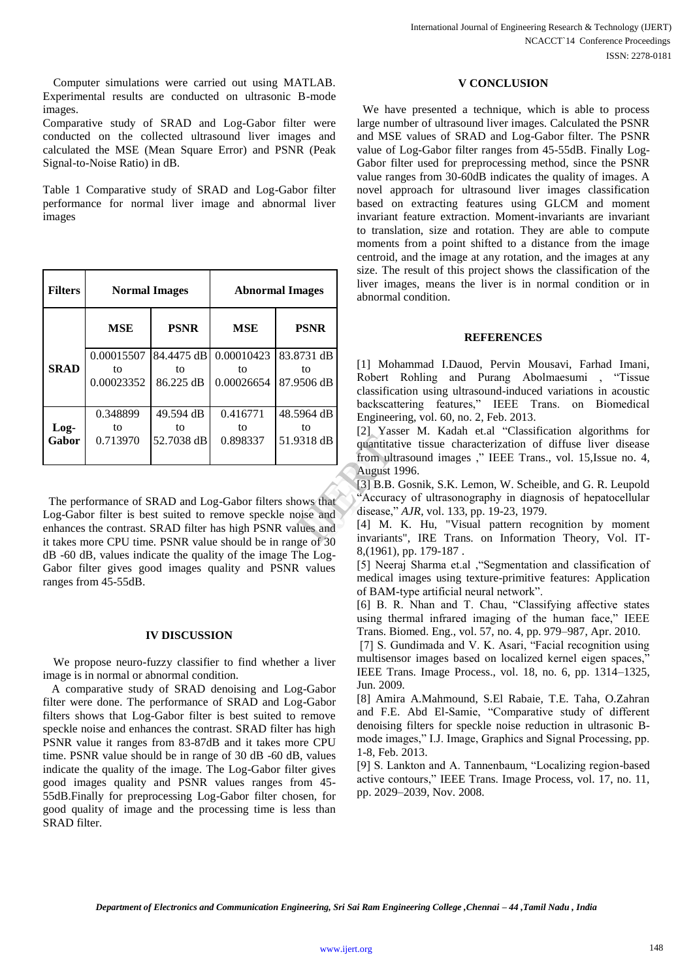Computer simulations were carried out using MATLAB. Experimental results are conducted on ultrasonic B-mode images.

Comparative study of SRAD and Log-Gabor filter were conducted on the collected ultrasound liver images and calculated the MSE (Mean Square Error) and PSNR (Peak Signal-to-Noise Ratio) in dB.

Table 1 Comparative study of SRAD and Log-Gabor filter performance for normal liver image and abnormal liver images

| <b>Filters</b> | <b>Normal Images</b>           |                               | <b>Abnormal Images</b>         |                                |
|----------------|--------------------------------|-------------------------------|--------------------------------|--------------------------------|
|                | <b>MSE</b>                     | <b>PSNR</b>                   | MSE                            | <b>PSNR</b>                    |
| <b>SRAD</b>    | 0.00015507<br>to<br>0.00023352 | 84.4475 dB<br>to<br>86.225 dB | 0.00010423<br>to<br>0.00026654 | 83.8731 dB<br>to<br>87.9506 dB |
| Log-<br>Gabor  | 0.348899<br>tο<br>0.713970     | 49.594 dB<br>to<br>52.7038 dB | 0.416771<br>tΩ<br>0.898337     | 48.5964 dB<br>tΩ<br>51.9318 dB |

 The performance of SRAD and Log-Gabor filters shows that Log-Gabor filter is best suited to remove speckle noise and enhances the contrast. SRAD filter has high PSNR values and it takes more CPU time. PSNR value should be in range of 30 dB -60 dB, values indicate the quality of the image The Log-Gabor filter gives good images quality and PSNR values ranges from 45-55dB.

#### **IV DISCUSSION**

 We propose neuro-fuzzy classifier to find whether a liver image is in normal or abnormal condition.

 A comparative study of SRAD denoising and Log-Gabor filter were done. The performance of SRAD and Log-Gabor filters shows that Log-Gabor filter is best suited to remove speckle noise and enhances the contrast. SRAD filter has high PSNR value it ranges from 83-87dB and it takes more CPU time. PSNR value should be in range of 30 dB -60 dB, values indicate the quality of the image. The Log-Gabor filter gives good images quality and PSNR values ranges from 45- 55dB.Finally for preprocessing Log-Gabor filter chosen, for good quality of image and the processing time is less than SRAD filter.

#### **V CONCLUSION**

 We have presented a technique, which is able to process large number of ultrasound liver images. Calculated the PSNR and MSE values of SRAD and Log-Gabor filter. The PSNR value of Log-Gabor filter ranges from 45-55dB. Finally Log-Gabor filter used for preprocessing method, since the PSNR value ranges from 30-60dB indicates the quality of images. A novel approach for ultrasound liver images classification based on extracting features using GLCM and moment invariant feature extraction. Moment-invariants are invariant to translation, size and rotation. They are able to compute moments from a point shifted to a distance from the image centroid, and the image at any rotation, and the images at any size. The result of this project shows the classification of the liver images, means the liver is in normal condition or in abnormal condition.

#### **REFERENCES**

[1] Mohammad I.Dauod, Pervin Mousavi, Farhad Imani, Robert Rohling and Purang Abolmaesumi , "Tissue classification using ultrasound-induced variations in acoustic backscattering features," IEEE Trans. on Biomedical Engineering, vol. 60, no. 2, Feb. 2013.

[2] Yasser M. Kadah et.al "Classification algorithms for quantitative tissue characterization of diffuse liver disease from ultrasound images ," IEEE Trans., vol. 15,Issue no. 4, August 1996. 18 dB<br>
quantitative<br>
from ultrasor<br>
August 1996<br>
3] B.B. Gos<br>
ws that "Accuracy of disease," AJI<br>
es and [4] M. K.

[3] B.B. Gosnik, S.K. Lemon, W. Scheible, and G. R. Leupold "Accuracy of ultrasonography in diagnosis of hepatocellular disease," *AJR*, vol. 133, pp. 19-23, 1979.

[4] M. K. Hu, "Visual pattern recognition by moment invariants", IRE Trans. on Information Theory, Vol. IT-8,(1961), pp. 179-187 .

[5] Neeraj Sharma et.al ,"Segmentation and classification of medical images using texture-primitive features: Application of BAM-type artificial neural network".

[6] B. R. Nhan and T. Chau, "Classifying affective states using thermal infrared imaging of the human face," IEEE Trans. Biomed. Eng., vol. 57, no. 4, pp. 979–987, Apr. 2010.

[7] S. Gundimada and V. K. Asari, "Facial recognition using multisensor images based on localized kernel eigen spaces, IEEE Trans. Image Process., vol. 18, no. 6, pp. 1314–1325, Jun. 2009*.*

[8] Amira A.Mahmound, S.El Rabaie, T.E. Taha, O.Zahran and F.E. Abd El-Samie, "Comparative study of different denoising filters for speckle noise reduction in ultrasonic Bmode images," I.J. Image, Graphics and Signal Processing, pp. 1-8, Feb. 2013.

[9] S. Lankton and A. Tannenbaum, "Localizing region-based active contours," IEEE Trans. Image Process, vol. 17, no. 11, pp. 2029–2039, Nov. 2008.